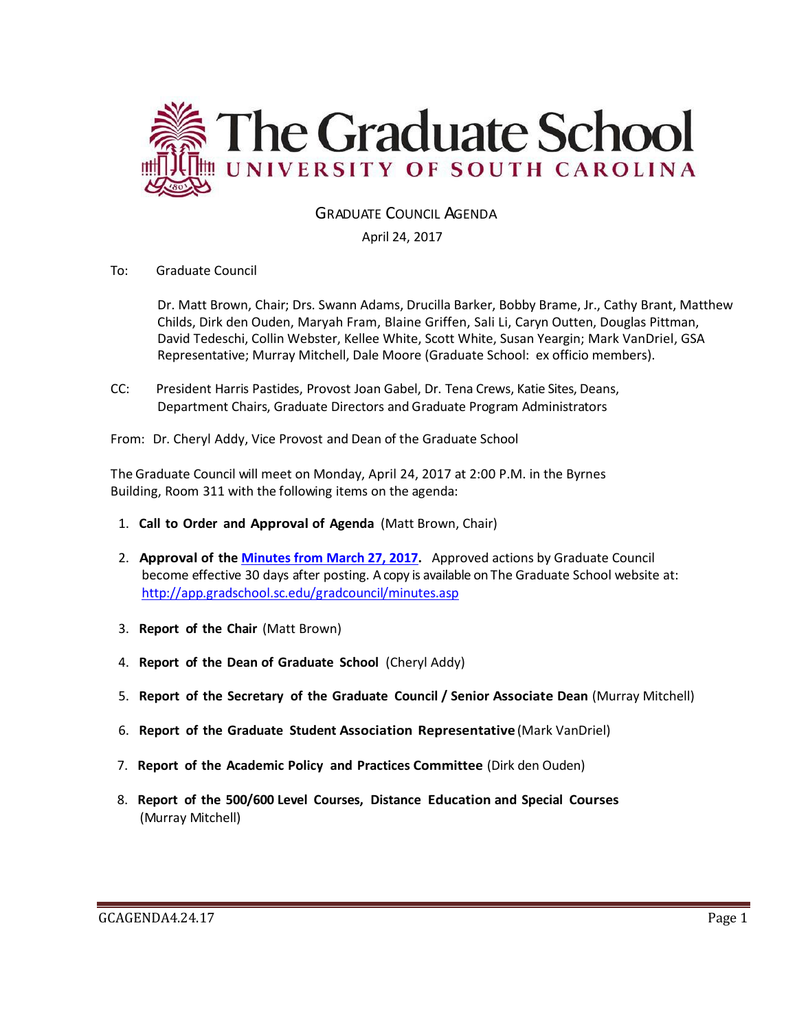

# GRADUATE COUNCIL AGENDA

## April 24, 2017

To: Graduate Council

Dr. Matt Brown, Chair; Drs. Swann Adams, Drucilla Barker, Bobby Brame, Jr., Cathy Brant, Matthew Childs, Dirk den Ouden, Maryah Fram, Blaine Griffen, Sali Li, Caryn Outten, Douglas Pittman, David Tedeschi, Collin Webster, Kellee White, Scott White, Susan Yeargin; Mark VanDriel, GSA Representative; Murray Mitchell, Dale Moore (Graduate School: ex officio members).

CC: President Harris Pastides, Provost Joan Gabel, Dr. Tena Crews, Katie Sites, Deans, Department Chairs, Graduate Directors and Graduate Program Administrators

From: Dr. Cheryl Addy, Vice Provost and Dean of the Graduate School

The Graduate Council will meet on Monday, April 24, 2017 at 2:00 P.M. in the Byrnes Building, Room 311 with the following items on the agenda:

- 1. **Call to Order and Approval of Agenda** (Matt Brown, Chair)
- 2. **Approval of the [Minutes from March 27, 2017.](file:///C:/Users/wandab/Local%20Documents/Graduate%20Council/GCMINUTESMAR272017MFM.pdf)** Approved actions by Graduate Council become effective 30 days after posting. A copy is available on The Graduate School website at: <http://app.gradschool.sc.edu/gradcouncil/minutes.asp>
- 3. **Report of the Chair** (Matt Brown)
- 4. **Report of the Dean of Graduate School** (Cheryl Addy)
- 5. **Report of the Secretary of the Graduate Council / Senior Associate Dean** (Murray Mitchell)
- 6. **Report of the Graduate Student Association Representative** (Mark VanDriel)
- 7. **Report of the Academic Policy and Practices Committee** (Dirk den Ouden)
- 8. **Report of the 500/600 Level Courses, Distance Education and Special Courses** (Murray Mitchell)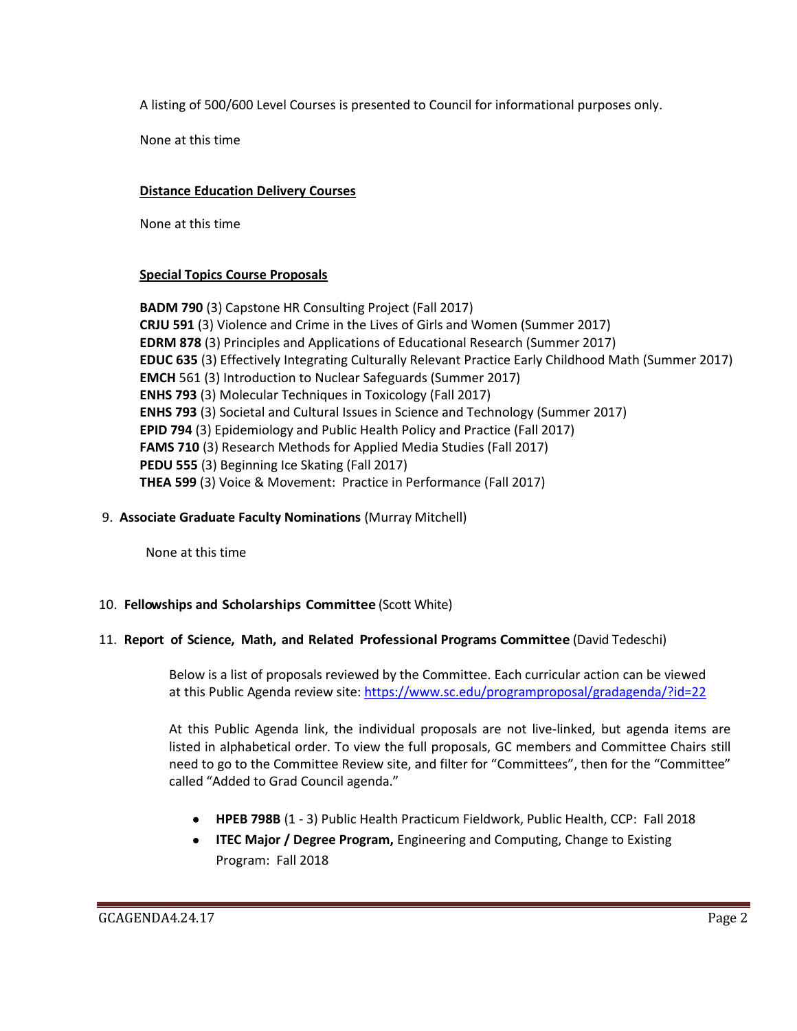A listing of 500/600 Level Courses is presented to Council for informational purposes only.

None at this time

### **Distance Education Delivery Courses**

None at this time

#### **Special Topics Course Proposals**

**BADM 790** (3) Capstone HR Consulting Project (Fall 2017) **CRJU 591** (3) Violence and Crime in the Lives of Girls and Women (Summer 2017) **EDRM 878** (3) Principles and Applications of Educational Research (Summer 2017) **EDUC 635** (3) Effectively Integrating Culturally Relevant Practice Early Childhood Math (Summer 2017) **EMCH** 561 (3) Introduction to Nuclear Safeguards (Summer 2017) **ENHS 793** (3) Molecular Techniques in Toxicology (Fall 2017) **ENHS 793** (3) Societal and Cultural Issues in Science and Technology (Summer 2017) **EPID 794** (3) Epidemiology and Public Health Policy and Practice (Fall 2017) **FAMS 710** (3) Research Methods for Applied Media Studies (Fall 2017) **PEDU 555** (3) Beginning Ice Skating (Fall 2017) **THEA 599** (3) Voice & Movement: Practice in Performance (Fall 2017)

#### 9. **Associate Graduate Faculty Nominations** (Murray Mitchell)

None at this time

#### 10. **Fellowships and Scholarships Committee** (Scott White)

#### 11. **Report of Science, Math, and Related Professional Programs Committee** (David Tedeschi)

Below is a list of proposals reviewed by the Committee. Each curricular action can be viewed at this Public Agenda review site:<https://www.sc.edu/programproposal/gradagenda/?id=22>

At this Public Agenda link, the individual proposals are not live-linked, but agenda items are listed in alphabetical order. To view the full proposals, GC members and Committee Chairs still need to go to the Committee Review site, and filter for "Committees", then for the "Committee" called "Added to Grad Council agenda."

- **HPEB 798B** (1 3) Public Health Practicum Fieldwork, Public Health, CCP: Fall 2018
- **ITEC Major / Degree Program,** Engineering and Computing, Change to Existing Program: Fall 2018